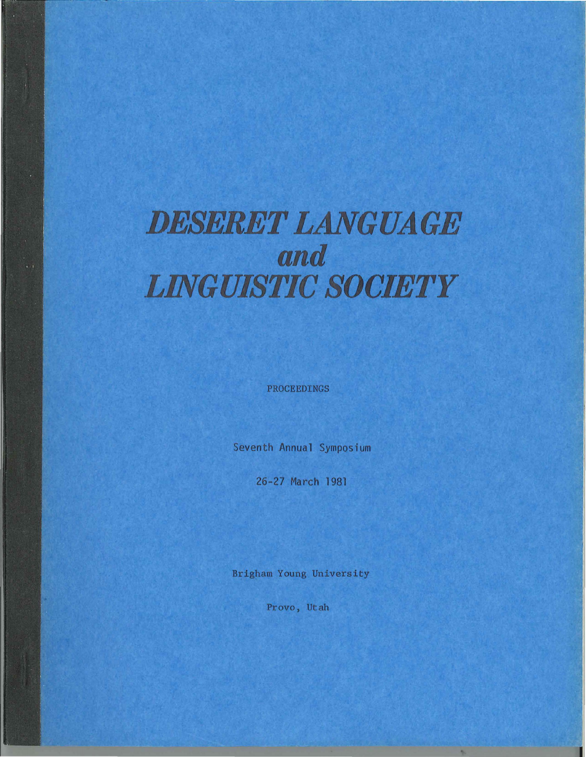# *DESERET LANGUAGE and LINGUISTIC SOCIETY*

PROCEEDINGS

Seventh Annual Symposium

26-27 March 1981

Brigham Young University

Provo, Utah

k,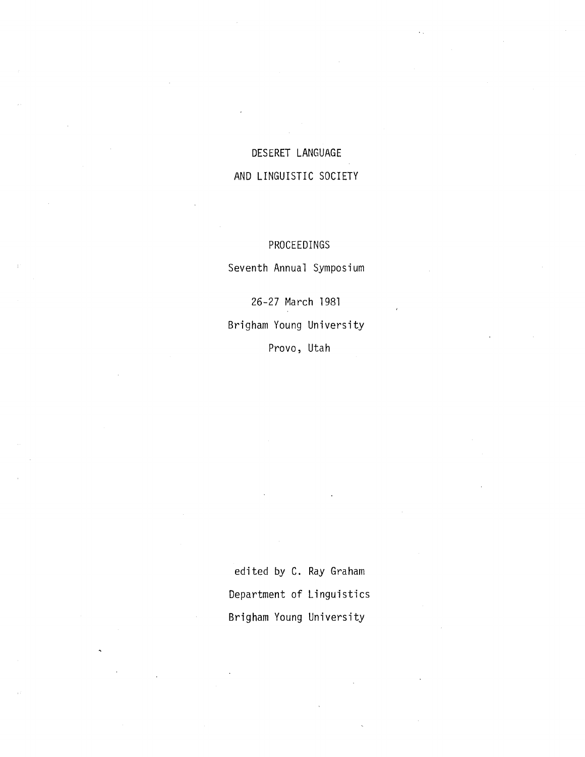## DESERET LANGUAGE AND LINGUISTIC SOCIETY

## PROCEEDINGS

Seventh Annual Symposium

26-27 March 1981 Brigham Young University Provo, Utah

edited by C. Ray Graham Department of Linguistics Brigham Young University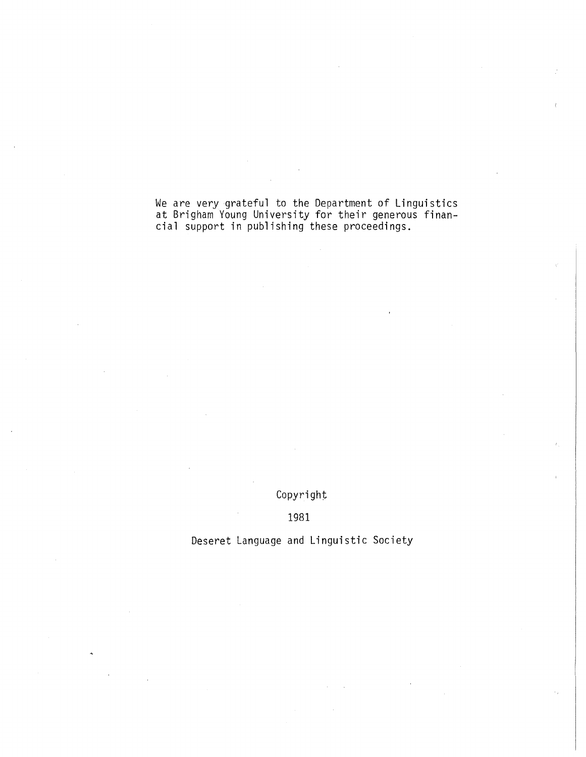We are very grateful to the Department of Linguistics at Brigham Young University for their generous financial support in publishing these proceedings.

Copyright

1981

Deseret Language and Linguistic Society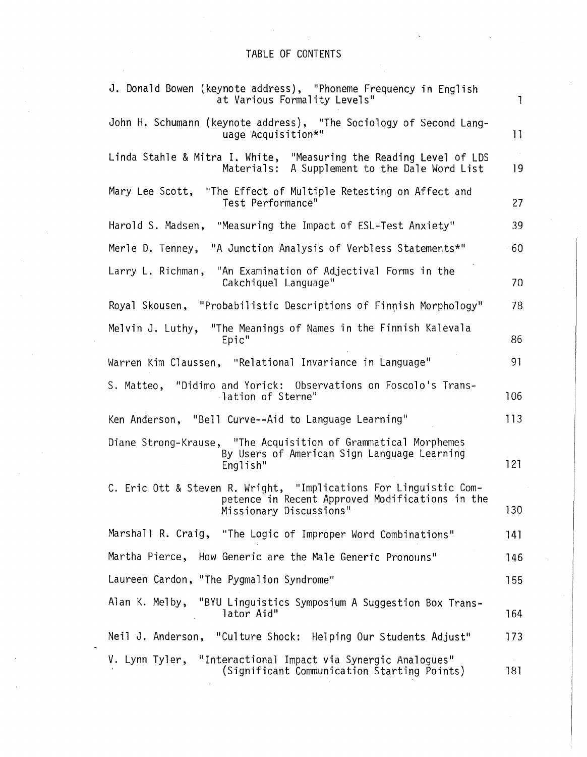## TABLE OF CONTENTS

| J. Donald Bowen (keynote address), "Phoneme Frequency in English<br>at Various Formality Levels"                                                | $\mathbf{1}$     |
|-------------------------------------------------------------------------------------------------------------------------------------------------|------------------|
| John H. Schumann (keynote address), "The Sociology of Second Lang-<br>uage Acquisition*"                                                        | 11               |
| Linda Stahle & Mitra I. White, "Measuring the Reading Level of LDS<br>Materials: A Supplement to the Dale Word List                             | 19               |
| Mary Lee Scott, "The Effect of Multiple Retesting on Affect and<br>Test Performance"                                                            | 27               |
| Harold S. Madsen,<br>"Measuring the Impact of ESL-Test Anxiety"                                                                                 | 39               |
| Merle D. Tenney, "A Junction Analysis of Verbless Statements*"                                                                                  | 60               |
| "An Examination of Adjectival Forms in the<br>Larry L. Richman,<br>Cakchiquel Language"                                                         | 70               |
| Royal Skousen, "Probabilistic Descriptions of Finnish Morphology"                                                                               | 78               |
| "The Meanings of Names in the Finnish Kalevala<br>Melvin J. Luthy,<br>Epic"                                                                     | 86               |
| Warren Kim Claussen, "Relational Invariance in Language"                                                                                        | 91               |
| "Didimo and Yorick: Observations on Foscolo's Trans-<br>S. Matteo,<br>-lation of Sterne"                                                        | 106              |
| Ken Anderson, "Bell Curve--Aid to Language Learning"                                                                                            | 113              |
| Diane Strong-Krause, "The Acquisition of Grammatical Morphemes<br>By Users of American Sign Language Learning<br>English"                       | 121              |
| C. Eric Ott & Steven R. Wright, "Implications For Linguistic Com-<br>petence in Recent Approved Modifications in the<br>Missionary Discussions" | 130 <sub>2</sub> |
| Marshall R. Craig, "The Logic of Improper Word Combinations"                                                                                    | 141              |
| Martha Pierce, How Generic are the Male Generic Pronouns"                                                                                       | 146              |
| Laureen Cardon, "The Pygmalion Syndrome"                                                                                                        | 155              |
| Alan K. Melby, "BYU Linguistics Symposium A Suggestion Box Trans-<br>lator Aid"                                                                 | 164              |
| Neil J. Anderson, "Culture Shock: Helping Our Students Adjust"                                                                                  | 173              |
| V. Lynn Tyler, "Interactional Impact via Synergic Analogues"<br>(Significant Communication Starting Points)                                     | 181              |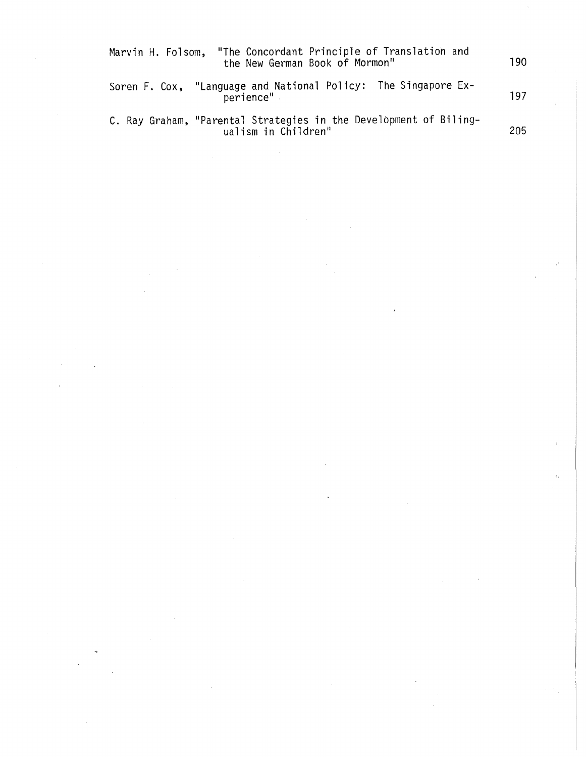| "The Concordant Principle of Translation and<br>Marvin H. Folsom,<br>the New German Book of Mormon" | 190 |
|-----------------------------------------------------------------------------------------------------|-----|
| Soren F. Cox, "Language and National Policy: The Singapore Ex-<br>perience"                         | 197 |
| C. Ray Graham, "Parental Strategies in the Development of Biling-<br>ualism in Children"            | 205 |

 $\label{eq:2.1} \frac{1}{\sqrt{2\pi}}\int_{0}^{\infty}\frac{1}{\sqrt{2\pi}}\left(\frac{1}{\sqrt{2\pi}}\right)^{2\alpha} \frac{1}{\sqrt{2\pi}}\int_{0}^{\infty}\frac{1}{\sqrt{2\pi}}\frac{1}{\sqrt{2\pi}}\frac{1}{\sqrt{2\pi}}\frac{1}{\sqrt{2\pi}}\frac{1}{\sqrt{2\pi}}\frac{1}{\sqrt{2\pi}}\frac{1}{\sqrt{2\pi}}\frac{1}{\sqrt{2\pi}}\frac{1}{\sqrt{2\pi}}\frac{1}{\sqrt{2\pi}}\frac{1}{\sqrt{2\pi}}\frac{$ 

 $\label{eq:2.1} \frac{1}{2} \sum_{i=1}^n \frac{1}{2} \sum_{j=1}^n \frac{1}{2} \sum_{j=1}^n \frac{1}{2} \sum_{j=1}^n \frac{1}{2} \sum_{j=1}^n \frac{1}{2} \sum_{j=1}^n \frac{1}{2} \sum_{j=1}^n \frac{1}{2} \sum_{j=1}^n \frac{1}{2} \sum_{j=1}^n \frac{1}{2} \sum_{j=1}^n \frac{1}{2} \sum_{j=1}^n \frac{1}{2} \sum_{j=1}^n \frac{1}{2} \sum_{j=1}^n \frac{$ 

 $\label{eq:2} \frac{1}{\sqrt{2}}\left(\frac{1}{\sqrt{2}}\right)^{2} \left(\frac{1}{\sqrt{2}}\right)^{2}$ 

 $\label{eq:2.1} \frac{1}{\sqrt{2}}\sum_{i=1}^n\frac{1}{\sqrt{2}}\sum_{i=1}^n\frac{1}{\sqrt{2}}\sum_{i=1}^n\frac{1}{\sqrt{2}}\sum_{i=1}^n\frac{1}{\sqrt{2}}\sum_{i=1}^n\frac{1}{\sqrt{2}}\sum_{i=1}^n\frac{1}{\sqrt{2}}\sum_{i=1}^n\frac{1}{\sqrt{2}}\sum_{i=1}^n\frac{1}{\sqrt{2}}\sum_{i=1}^n\frac{1}{\sqrt{2}}\sum_{i=1}^n\frac{1}{\sqrt{2}}\sum_{i=1}^n\frac$ 

 $\Delta \omega_{\rm c}$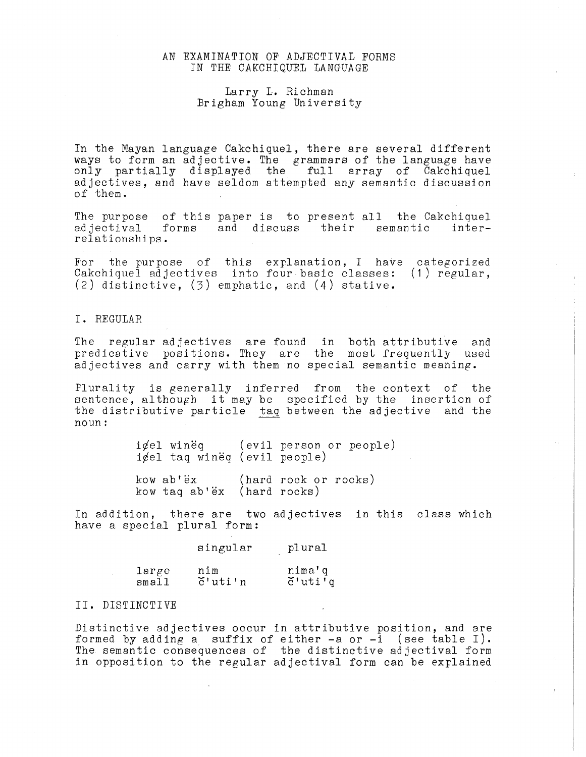#### AN EXAMINATION OF ADJECTIVAL FORMS IN THE CAKCHIQUEL LANGUAGE

#### Larry L. Richman Brigham Young University

In the Mayan language Cakchiquel, there are several different ways to form an adjective. The grammars of the language have only partially displayed the full array of Cakchiquel adjectives, and have seldom attempted any semantic discussion of them.

The purpose of this paper is to present all the Cakchiguel<br>adjectival forms and discuss their semantic interadjectival forms and discuss their semantic relationships.

For the purpose of this explanation, I have categorized Cakchiquel adjectives into four basic classes: (1) regular, (2) distinctive, (3) emphatic, and (4) stative.

I. REGULAR

The regular adjectives are found in both attributive and predicative positions. They are the most frequently used adjectives and carry with them no special semantic meaning.

Plurality is generally inferred from the context of the sentence, although it may be specified by the insertion of the distributive particle taq between the adjective and the noun:

| icel taq wineq (evil people)                                 | igel wineq (evil person or people) |
|--------------------------------------------------------------|------------------------------------|
| kow ab'ëx (hard rock or rocks)<br>kow taq ab'ëx (hard rocks) |                                    |

In addition, there are two adjectives in this class which have a special plural form:

|       | singular           | plural                                             |
|-------|--------------------|----------------------------------------------------|
| large | nim                | nima'q                                             |
| small | $\check{c}$ 'uti'n | $\delta$ 'uti <sup><math>\overline{q}</math></sup> |

#### II. DISTINCTIVE

Distinctive adjectives occur in attributive position, and are formed by adding a suffix of either  $-a$  or  $-i$  (see table I). The semantic consequences of the distinctive adjectival form in opposition to the regular adjectival form can be explained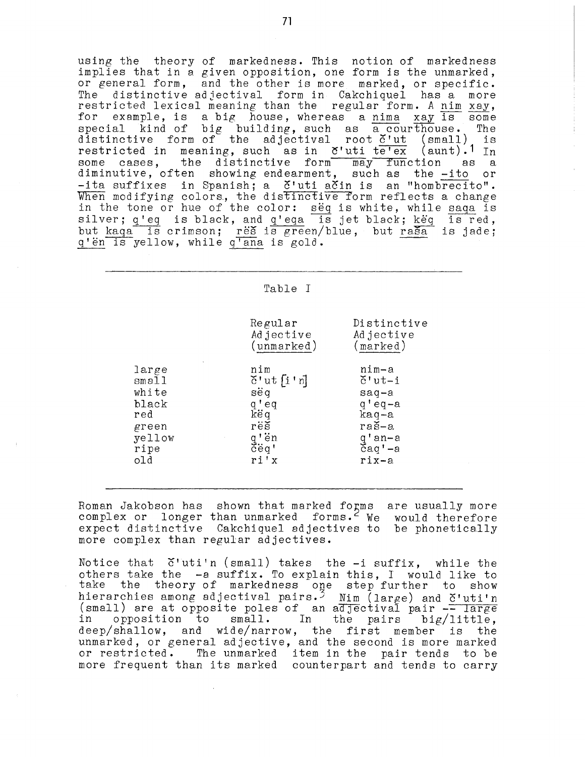using the theory of markedness. This notion of markedness implies that in a given opposition, one form is the unmarked, or general form, and the other is more marked, or specific. The distinctive adjectival form in Cakchiquel has a more restricted lexical meaning than the regular form. *A* nim xay, for example, is a big house, whereas a nima xay is some special kind of big building, such as a courthouse. The special kind of big building, such as a courthouse. The distinctive form of the adjectival root  $\check{c}'$ ut (small) is distinctive form of the adjectival root  $\check{c}'$ ut (small) is<br>restricted in meaning, such as in  $\check{c}'$ uti te'ex (aunt).<sup>1</sup> In some cases, the distinctive form may function as a diminutive, often showing endearment, such as the -ito or -ita suffixes in Spanish; a č'uti ačin is an "hombrecito". When modifying colors, the distinctive form reflects a change In the tone or hue of the color: seq is white, while saqa is silver; q'eq is black, and q'eqa is jet black; keq is red, but kaqa is crimson; res is green/blue, but rasa is jade; q'en is yellow, while q'ana is gold.

#### Table I

Regular Adjective (unmarked)

 $\check{c}$ ' ut  $\lceil i \rceil$ 

nim

sëq q'eq këq res q'en  $\vec{c}$ ëq' ri'x

large small white black red green  $ve$  $1$ ow ripe old

(marked) nim-a  $\check{c}$ 'ut-i saq-a q'eq-a kaq-a ras-a q'an-a  $\bar{c}$ aq' $-a$ rix-a

Distinctive Adjective

Roman Jakobson has shown that marked forms are usually more complex or longer than unmarked forms.<sup>2</sup> We would therefore expect distinctive Cakchiquel adjectives to be phonetically more complex than regular adjectives.

Notice that  $\check{\mathrm{c}}'$  uti'n (small) takes the  $-i$  suffix, while the others take the -a suffix. To explain this, I would like to take the theory of markedness one step further to show hierarchies among adjectival pairs.<sup>5</sup> Nim (large) and  $\breve{\rm c'uti'}$ n (small) are at opposite poles of an adjectival pair  $\frac{1}{2}$  large (small) are at opposite poles of an adjectival pair  $\frac{1}{2}$  large (small) are at opposite poles of an adjectival pair  $-$  large<br>in opposition to small. In the pairs big/little, in opposition to small. In the pairs big/little,<br>deep/shallow, and wide/narrow, the first member is the unmarked, or general adjective, and the second is more marked or restricted. The unmarked item in the pair tends to be more frequent than its marked counterpart and tends to carry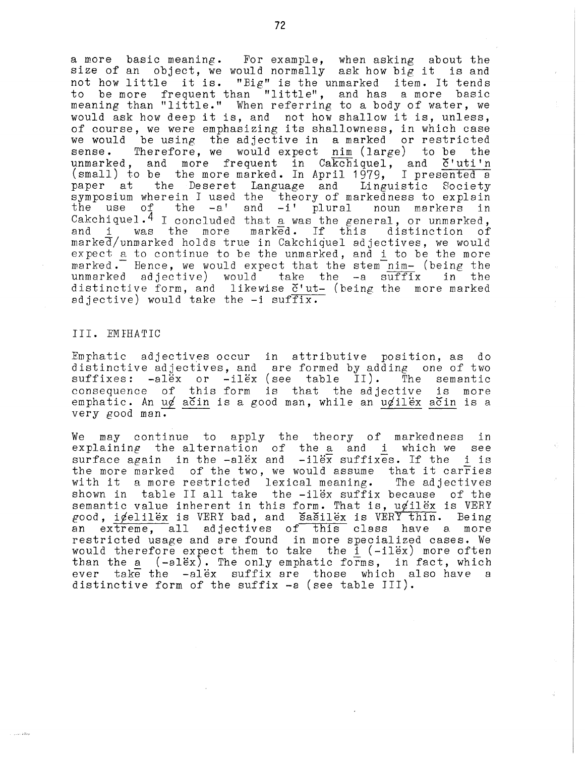a more basic meaning. For example, when asking about the size of an object, we would normally ask how big it is and not how little it is. "Big" is the unmarked item. It tends to be more frequent than "little", and has a more basic to be more irequent than ilitle, and has a more basic<br>meaning than "little." When referring to a body of water, we would ask how deep it is, and not how shallow it is, unless, of course, we were emphasizing its shallowness, in which case of codinct, we were emphasizing its sharrowness, in which case sense. Therefore, we would expect nim (large) to be the unmarked, and more frequent in Cakchiquel, and č'uti'n (small) to be the more marked. In April 1979, I presented a<br>paper at the Deseret Language and Linguistic Society the Deseret Language and Linguistic Society symposium wherein I used the theory of markedness to explain<br>the use of the -a' and -i' plural noun markers in Cakchiquel.<sup>4</sup> I concluded that a was the general, or unmarked, and i was the more marked. If this distinction of  $m$ arke $\overline{d}/n$ unmarked holds true in Cakchiquel adjectives, we would expect a to continue to be the unmarked, and i to be the more marked. Hence, we would expect that the stem  $n_{\text{min}}$  (being the unmarked adjective) would take the -a suffix in the distinctive form, and likewise  $\check{c}'$ 'ut- (being the more marked adjective) would take the -i suffix.

#### III. EM FHA TIC

**Contractive** 

Emphatic adjectives occur in attributive position, as do distinctive adjectives, and are formed by adding one of two<br>suffixes: -alex or -ilex (see table II). The semantic  $\texttt{suffixes: -al\ddot{e}x} \quad \texttt{or} \quad \texttt{-il\ddot{e}x} \ \texttt{(see table II)}.$ consequence of this form is that the adjective is more emphatic. An u $\phi$  acin is a good man, while an u $\phi$ ilex acin is a very good man.

We may continue to apply the theory of markedness in explaining the alternation of the a and i which we see surface again in the  $-alex$  and  $-ilex$  suffixes. If the i is the more marked of the two, we would assume that it carries with it a more restricted lexical meaning. The adjectives with it a more restricted lexical meaning. shown in table II all take the -ilex suffix because of the semantic value inherent in this form. That is,  $u \notin \mathrm{il} \, \widetilde{\mathrm{ev}}$  is VERY good,  $i$  $/$ elilëx is VERY bad, and  $\overline{S}$ a $\overline{S}$ ilëx is VERY thin. Being an extreme, all adjectives of this class have a more extreme, all adjectives of this class have a more restricted usage and are found in more specialized cases. We would therefore expect them to take the  $i$  ( $-i$ lex) more often than the a  $(-a1ex)$ . The only emphatic forms, in fact, which ever take the -alex suffix are those which also have a distinctive form of the suffix -a (see table JII).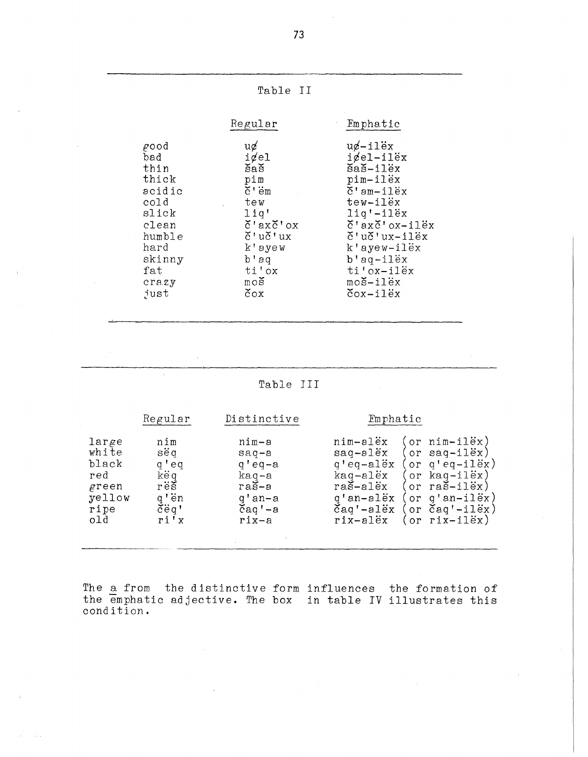|                                                                                                                      | Table II                                                                                                                                                                                                                              |                                                                                                                                                                                                                                                                                                                                                                          |
|----------------------------------------------------------------------------------------------------------------------|---------------------------------------------------------------------------------------------------------------------------------------------------------------------------------------------------------------------------------------|--------------------------------------------------------------------------------------------------------------------------------------------------------------------------------------------------------------------------------------------------------------------------------------------------------------------------------------------------------------------------|
|                                                                                                                      | Regular                                                                                                                                                                                                                               | Emphatic                                                                                                                                                                                                                                                                                                                                                                 |
| good<br>bad<br>thin<br>thick<br>acidic<br>cold<br>slick<br>clean<br>humble<br>hard<br>skinny<br>fat<br>crazy<br>just | $u\phi$<br>$i$ <i>d</i> el<br>5a5<br>pim<br>$\check{c}$ $\vdots$ $\vdots$<br>tew<br>liq'<br>$\check{c}$ 'ax $\check{c}$ 'ox<br>$\check{c}$ 'u $\check{c}$ 'ux<br>k'ayew<br>$b$ 'aq<br>ti'ox<br>$m \circ s$<br>$\check{\mathrm{c}}$ ox | $u \notin -i \text{lex}$<br>$i$ $\ell$ el-ilëx<br>$\widetilde{\mathbf{5}}$ a $\widetilde{\mathbf{5}}$ -ilëx<br>pim-ilëx<br>$\check{c}$ 'am-ilëx<br>tew-ilex<br>liq'-ilëx<br>$\check{c}$ 'ax $\check{c}$ 'ox-ilëx<br>$\check{c}$ 'u $\check{c}$ 'ux-ilëx<br>$k$ 'ayew-ilëx<br>$b'$ aq-ilex<br>ti'ox-ilëx<br>$mo\check{s}-il\check{e}x$<br>$\text{Cox}-\text{i}1\text{ex}$ |

### Table III

|                                                                  | Regular                                                             | Distinctive                                                                                          | Emphatic                                                                                                                                                                                                                                                                                                                               |
|------------------------------------------------------------------|---------------------------------------------------------------------|------------------------------------------------------------------------------------------------------|----------------------------------------------------------------------------------------------------------------------------------------------------------------------------------------------------------------------------------------------------------------------------------------------------------------------------------------|
| large<br>white<br>black<br>red<br>green<br>yellow<br>ripe<br>old | nim<br>sëq<br>g'eq<br>këq<br>rëš<br>q'ën<br>$\check{c}$ eq'<br>ri'x | nim-a<br>$saq-a$<br>$q'$ eq-a<br>$kaq-a$<br>$ra\check{s}-a$<br>g'an-a<br>$\text{čaq}$ '-a<br>$rix-a$ | or $nim-11ex$ )<br>nim-alex<br>or saq-ilëx)<br>saq-alëx<br>or $q'eq - i \tilde{d}x$ )<br>q'eq-alëx<br>or $k$ aq $-i$ 1 $\ddot{e}$ x)<br>kaq-alëx<br>raš-alëx<br>or $ra\check{s}-il\check{e}x$ )<br>or $q'an-11\ddot{e}x$ )<br>g'an-alëx<br>or $\text{Caq}'$ -ilex)<br>$\check{c}$ aq'-al $\ddot{e}$ x<br>or $rix - i1ex$ )<br>rix-alëx |

The a from the distinctive form influences the formation of the emphatic adjective. The box in table IV illustrates this condition.

73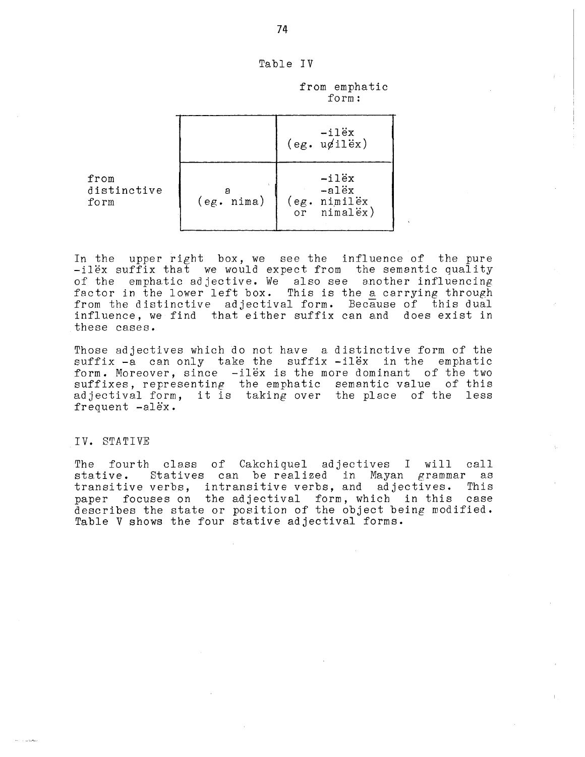| Table |  |
|-------|--|
|-------|--|

from emphatic form:

|                                     |            | $-11ex$<br>$(eg. uqil\ddot{e}x)$                                                             |
|-------------------------------------|------------|----------------------------------------------------------------------------------------------|
| ${\tt from}$<br>distinctive<br>form | (eg. nima) | -ilëx<br>-alëx<br>nimilëx<br>$\frac{\text{e.g. } \text{minilex}}{\text{or } \text{minalex}}$ |

In the upper right box, we see the influence of the pure -ilex suffix that we would expect from the semantic quality of the emphatic adjective. We also see another influencing factor in the lower left box. This is the a carrying through from the distinctive adjectival form. Because of this dual influence, we find that either suffix can and does exist in these cases.

Those adjectives which do not have a distinctive form of the suffix -a can only take the suffix -ilëx in the emphatic form. Moreover, since -ilex is the more dominant of the two suffixes, representing the emphatic semantic value of this adjectival form, it is taking over the place of the less frequent -alex.

#### IV. STATIVE

The fourth class of Cakchiquel adjectives I will call stative. Statives can be realized in Mayan grammar as transitive verbs, intransitive verbs, and adjectives. paper focuses on the adjectival form, which in this case describes the state or position of the object being modified. Table V shows the four stative adjectival forms.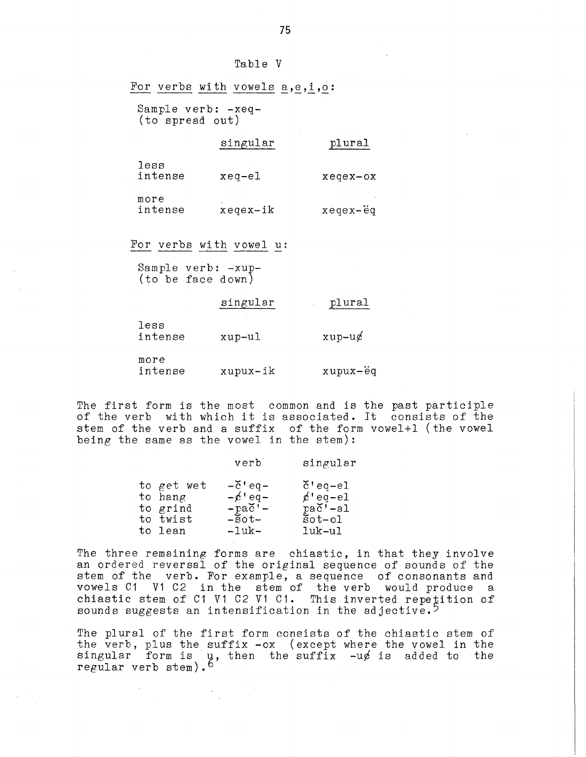| Tabl. |  |  | е |  |
|-------|--|--|---|--|
|-------|--|--|---|--|

|                                         | For verbs with vowels a, e, i, o: |                          |
|-----------------------------------------|-----------------------------------|--------------------------|
| Sample verb: -xeq-<br>(to spread out)   |                                   |                          |
|                                         | singular                          | plural                   |
| less<br>intense                         | $xeq-e1$                          | $x \neq y \neq x - 0x$   |
| more<br>intense                         | $x \neq q \neq x - i k$           | $x = q e x - \ddot{e} q$ |
| For verbs with vowel u:                 |                                   |                          |
| Sample verb: -xup-<br>(to be face down) |                                   |                          |
|                                         | singular                          | plural                   |
| less<br>intense                         | xup-ul                            | $xup-u\phi$              |
| more<br>intense                         | xupux-ik                          | xupux-ëq                 |

The first form is the most common and is the past participle of the verb with which it is associated. It consists of the stem of the verb and a suffix of the form vowel+l (the vowel being the same as the vowel in the stem):

|            | verb                            | singular               |
|------------|---------------------------------|------------------------|
| to get wet | $-\check{c}$ 'eq-               | $\check{c}$ 'eq-el     |
| to hang    | $-\cancel{e}$ <sup>+</sup> eq - | $e'$ eq-el             |
| to grind   | $-pa\check{c}'$ –               | $pa\check{c}'$ -al     |
| to twist   | $-5$ ot $-$                     | $\text{Sot}-\text{ol}$ |
| to lean    | $-luk-$                         | $luk-u1$               |

The three remaining forms are chiastic, in that they involve an ordered reversal of the original sequence of sounds of the stem of the verb. For example, a sequence of consonants and vowels C1 V1 C2 in the stem of the verb would produce a chiastic stem of C1 V1 C2 V1 C1. This inverted repetition of sounds suggests an intensification in the adjective.<sup>5</sup>

The plural of the first form consists of the chiastic stem of the verb, plus the suffix -ox (except where the vowel in the singular form is  $\mu$ , then the suffix  $-u\phi$  is added to the regular verb stem).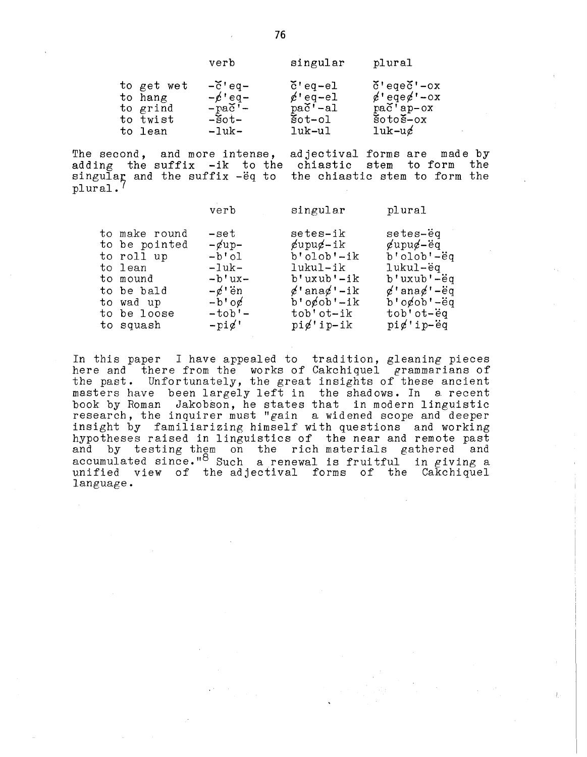| verb |  |  |
|------|--|--|

| to get wet | $-\check{c}$ 'eq-  | $\check{c}$ 'eq-el     | $\delta$ 'eqe $\delta$ '-ox                   |
|------------|--------------------|------------------------|-----------------------------------------------|
| to hang    | $-\cancel{e}$ 'eq- | $e'$ eq-el             | $\cancel{\alpha}$ 'eqe $\cancel{\alpha}$ '-ox |
| to grind   | $-pa\check{c}'$    | $pa\check{c}'$ -al     | $pa\check{c}$ 'ap-ox                          |
| to twist   | $-5$ ot $-$        | $\text{Sot}-\text{o}1$ | $\frac{8}{3}$ oto $\frac{8}{3}$ -ox           |
| to lean    | $-luk-$            | luk-ul                 | $1$ uk-u $\epsilon$                           |

The second, and more intense, adjectival forms are made by adding the suffix -ik to the chiastic stem to form the singular and the suffix -eq to the chiastic stem to form the plural.<sup>7</sup>

|                                                                                                                            | verb                                                                                                                             | singular                                                                                                                                                                        | plural                                                                                                                                                                    |
|----------------------------------------------------------------------------------------------------------------------------|----------------------------------------------------------------------------------------------------------------------------------|---------------------------------------------------------------------------------------------------------------------------------------------------------------------------------|---------------------------------------------------------------------------------------------------------------------------------------------------------------------------|
| to make round<br>to be pointed<br>to roll up<br>to lean<br>to mound<br>to be bald<br>to wad up<br>to be loose<br>to squash | -set<br>$-\alpha$ up-<br>$-b$ 'ol<br>$-1$ uk $-$<br>$-b'ux-$<br>$-\cancel{e}$ i en<br>$-b'$ o¢<br>$-tob'$ -<br>$-\text{pi}\ell'$ | setes-ik<br>$\mathcal{L}$ upu $\mathcal{L}$ -ik<br>$b'$ olob' $-ik$<br>lukul-ik<br>$b'$ uxub'-ik<br>$\phi'$ ana $\phi'$ -ik<br>$b'$ ogob'-ik<br>tob'ot-ik<br>$pi \notin 'ip-ik$ | setes-ëq<br>$\chi$ upu $\chi$ -ëq<br>$b'olob'$ -ëq<br>lukul-ëq<br>b'uxub'-ëq<br>$\phi'$ ana $\phi'$ - $\ddot{e}$ q<br>$b'$ ogob' $-eq$<br>tob'ot-ëq<br>$pi \notin 'ip-eq$ |
|                                                                                                                            |                                                                                                                                  |                                                                                                                                                                                 |                                                                                                                                                                           |

In this paper I have appealed to tradition, gleaning pieces here and there from the works of Cakchiquel grammarians of the past. Unfortunately, the great insights of these ancient masters have been largely left in the shadows. In a recent book by Roman Jakobsen, he states that in modern linguistic research, the inquirer must "gain a widened scope and deeper insight by familiarizing himself with questions and working hypotheses raised in linguistics of the near and remote past<br>and by testing them on the rich materials gathered and accumulated since."<sup>8</sup> Such a renewal is fruitful in giving a accommanded view of the adjectival forms of the Cakchiquel<br>language.